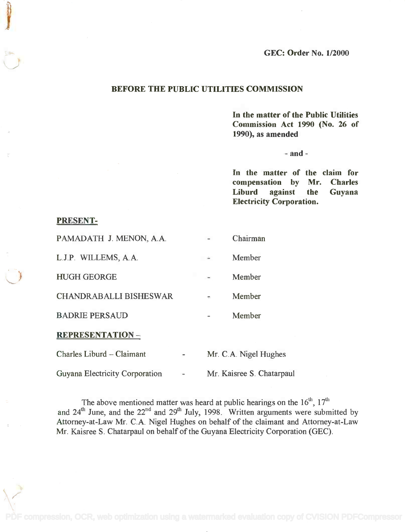GEC: Order No. 1/2000

# BEFORE THE PUBLIC UTILITIES COMMISSION

In the matter of the Public Utilities In the matter of the Public Utilities Commission Act 1990 (No. 26 of Commission Act 1990 (No. 26 of 1990), as amended 1990), as amended

 $-$  and  $-$ 

In the matter of the claim for In the matter of the claim for compensation by Mr. Charles compensation by Mr. Charles Liburd against the Guyana Liburd against the Guyana Electricity Corporation. Electricity Corporation.

# PRESENT-PRESENT-

| PAMADATH J. MENON, A.A.       |          | Chairman              |
|-------------------------------|----------|-----------------------|
| L.J.P. WILLEMS, A.A.          |          | Member                |
| <b>HUGH GEORGE</b>            |          | Member                |
| <b>CHANDRABALLI BISHESWAR</b> | $\equiv$ | Member                |
| <b>BADRIE PERSAUD</b>         |          | Member                |
| <b>REPRESENTATION-</b>        |          |                       |
| Charles Liburd - Claimant     |          | Mr. C.A. Nigel Hughes |
|                               |          |                       |

Guyana Electricity Corporation - Mr. Kaisree S. Chatarpaul

The above mentioned matter was heard at public hearings on the  $16<sup>th</sup>$ ,  $17<sup>th</sup>$ and  $24^{\text{th}}$  June, and the  $22^{\text{nd}}$  and  $29^{\text{th}}$  July, 1998. Written arguments were submitted by Attorney-at-Law Mr. C.A. Nigel Hughes on behalf of the claimant and Attorney-at-Law Attorney-at-Law Mr. C.A Nigel Hughes on behalf of the claimant and Attorney-at-Law Mr. Kaisree S. Chatarpaul on behalf of the Guyana Electricity Corporation (GEC). Mr. Kaisree S. Chatarpaul on behalf of the Guyana Electricity Corporation (GEC). The above mentioned matter was heard at public hearings on the  $16<sup>th</sup>$ ,  $17<sup>th</sup>$ and 24<sup>th</sup> June, and the 22<sup>nd</sup> and 29<sup>th</sup> July, 1998. Written arguments were submitted by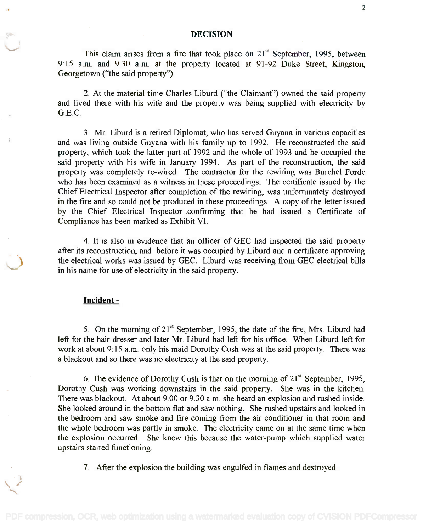#### DECISION

This claim arises from a fire that took place on  $21<sup>st</sup>$  September, 1995, between 9:15 a.m. and 9:30 a.m. at the property located at 91-92 Duke Street, Kingston, 9:15 a.m. and 9:30 a.m. at the property located at 91-92 Duke Street, Kingston, Georgetown ("the said property"). Georgetown ("the said property").

2. At the material time Charles Liburd ("the Claimant") owned the said property 2. At the material time Charles Liburd ("the Claimant") owned the said property and lived there with his wife and the property was being supplied with electricity by and lived there with his wife and the property was being supplied with electricity by  $G.E.C.$ 

3. Mr. Liburd is a retired Diplomat, who has served Guyana in various capacities 3. Mr. Liburd is a retired Diplomat, who has served Guyana in various capacities and was living outside Guyana with his family up to 1992. He reconstructed the said and was living outside Guyana with his family up to 1992. He reconstructed the said property, which took the latter part of 1992 and the whole of 1993 and he occupied the property, which took the latter part of 1992 and the whole of 1993 and he occupied the said property with his wife in January 1994. As part of the reconstruction, the said property was completely re-wired. The contractor for the rewiring was Burchel Forde property was completely re-wired. The contractor for the rewiring was Burchel Forde who has been examined as a witness in these proceedings. The certificate issued by the Chief Electrical Inspector after completion of the rewiring, was unfortunately destroyed Chief Electrical Inspector after completion of the rewiring, was unfortunately destroyed in the fire and so could not be produced in these proceedings. A copy of the letter issued in the fire and so could not be produced in these proceedings. A copy of the letter issued by the Chief Electrical Inspector ,confirming that he had issued a Certificate of by the Chief Electrical Inspector .confirming that he had issued a Certificate of Compliance has been marked as Exhibit VI. Compliance has been marked as Exhibit VI.

4. It is also in evidence that an officer of GEC had inspected the said property 4. It is also in evidence that an officer of GEC had inspected the said property after its reconstruction, and before it was occupied by Liburd and a certificate approving after its reconstruction, and before it was occupied by Liburd and a certificate approving the electrical works was issued by GEC. Liburd was receiving from GEC electrical bills in his name for use of electricity in the said property. in his name for use of electricity in the said property.

### Incident -

5. On the morning of  $21^{\text{st}}$  September, 1995, the date of the fire, Mrs. Liburd had left for the hair-dresser and later Mr. Liburd had left for his office. When Liburd left for left for the hair-dresser and later Mr. Liburd had left for his office. When Liburd left for work at about 9:15 a.m. only his maid Dorothy Cush was at the said property. There was work at about 9: 15 a.m. only his maid Dorothy Cush was at the said property. There was a blackout and so there was no electricity at the said property. a blackout and so there was no electricity at the said property.

6. The evidence of Dorothy Cush is that on the morning of  $21<sup>st</sup>$  September, 1995, Dorothy Cush was working downstairs in the said property. She was in the kitchen. Dorothy Cush was working downstairs in the said property. She was in the kitchen. There was blackout. At about 9.00 or 9.30 a.m. she heard an explosion and rushed inside. There was blackout. At about 9.00 or 9.30 a.m. she heard an explosion and rushed inside. She looked around in the bottom flat and saw nothing. She rushed upstairs and looked in She looked around in the bottom flat and saw nothing. She rushed upstairs and looked in the bedroom and saw smoke and fire coming from the air-conditioner in that room and the bedroom and saw smoke and fire coming from the air-conditioner in that room and the whole bedroom was partly in smoke. The electricity came on at the same time when the explosion occurred. She knew this because the water-pump which supplied water upstairs started functioning. upstairs started functioning.

7. After the explosion the building was engulfed in flames and destroyed.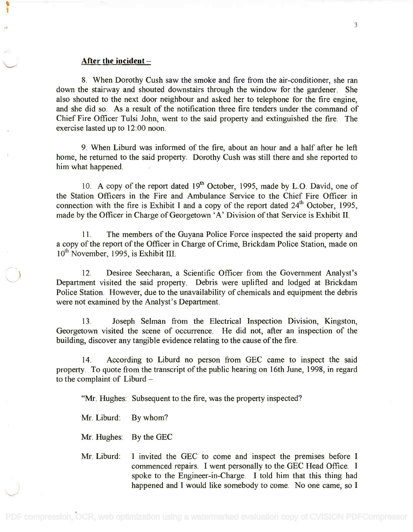#### After the incident

8. When Dorothy Cush saw the smoke and fire from the air-conditioner, she ran 8. When Dorothy Cush saw the smoke and fire from the air-conditioner, she ran down the stairway and shouted downstairs through the window for the gardener. She down the stairway and shouted downstairs through the window for the gardener. She also shouted to the next door neighbour and asked her to telephone for the fire engine, also shouted to the next door neighbour and asked her to telephone for the fire engine, and she did so. As a result of the notification three fire tenders under the command of and she did so. As a result of the notification three fire tenders under the command of Chief Fire Officer Tulsi John, went to the said property and extinguished the fire. The Chief Fire Officer Tulsi John, went to the said property and extinguished the fire. The exercise lasted up to 12:00 noon. exercise lasted up to 12:00 noon.

9. When Liburd was informed of the fire, about an hour and a half after he left 9. When Liburd was informed of the fire, about an hour and a half after he left home, he returned to the said property. Dorothy Cush was still there and she reported to home, he returned to the said property. Dorothy Cush was still there and she reported to him what happened. him what happened.

10. A copy of the report dated  $19<sup>th</sup>$  October, 1995, made by L.O. David, one of the Station Officers in the Fire and Ambulance Service to the Chief Fire Officer in the Station Officers in the Fire and Ambulance Service to the Chief Fire Officer in connection with the fire is Exhibit I and a copy of the report dated  $24<sup>th</sup>$  October, 1995, made by the Officer in Charge of Georgetown 'A' Division of that Service is Exhibit II. made by the Officer in Charge of Georgetown 'A' Division of that Service is Exhibit II.

11. The members of the Guyana Police Force inspected the said property and 11. The members of the Guyana Police Force inspected the said property and a copy of the report of the Officer in Charge of Crime, Brickdam Police Station, made on a copy of the report of the Officer in Charge of Crime, Brickdam Police Station, made on  $10^{th}$  November, 1995, is Exhibit III.

12. Desiree Seecharan, a Scientific Officer from the Government Analyst's 12. Desiree Seecharan, a Scientific Officer from the Government Analyst's Department visited the said property. Debris were uplifted and lodged at Brickdam Department visited the said property. Debris were uplifted and lodged at Brickdam Police Station. However, due to the unavailability of chemicals and equipment the debris Police Station. However, due to the unavailability of chemicals and equipment the debris were not examined by the Analyst's Department. were not examined by the Analyst's Department.

13. Joseph Selman from the Electrical Inspection Division, Kingston, 13. Joseph Selman from the Electrical Inspection Division, Kingston, Georgetown visited the scene of occurrence. He did not, after an inspection of the Georgetown visited the scene of occurrence. He did not, after an inspection of the building, discover any tangible evidence relating to the cause of the fire. building, discover any tangible evidence relating to the cause of the fire.

14. According to Liburd no person from GEC came to inspect the said property. To quote from the transcript of the public hearing on 16th June, 1998, in regard property. To quote from the transcript of the public hearing on 16th June, 1998, in regard to the complaint of  $Liburd -$ 

"Mr. Hughes: Subsequent to the fire, was the property inspected?

Mr. Liburd: By whom?

Mr. Hughes: By the GEC

~.

Mr. Liburd: I invited the GEC to come and inspect the premises before I Mr. Liburd: I invited the GEC to come and inspect the premises before I commenced repairs. I went personally to the GEC Head Office. I spoke to the Engineer-in-Charge. I told him that this thing had spoke to the Engineer-in-Charge. I told him that this thing had happened and I would like somebody to come. No one came, so I happened and I would like somebody to come. No one came, so I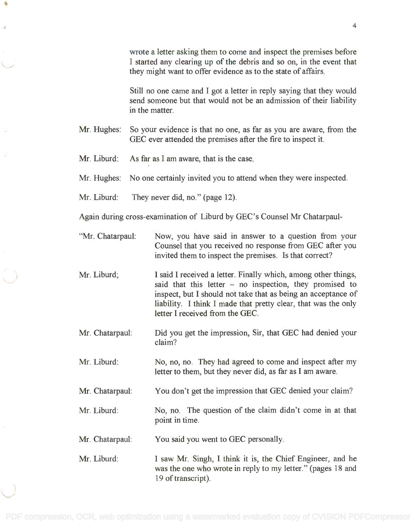wrote a letter asking them to come and inspect the premises before wrote a letter asking them to come and inspect the premises before I started any clearing up of the debris and so on, in the event that I started any clearing up of the debris and so on, in the event that they might want to offer evidence as to the state of affairs. they might want to offer evidence as to the state of affairs.

Still no one came and I got a letter in reply saying that they would Still no one came and I got a letter in reply saying that they would send someone but that would not be an admission of their liability send someone but that would not be an admission of their liability in the matter. in the matter.

Mr. Hughes: So your evidence is that no one, as far as you are aware, from the Mr. Hughes: So your evidence is that no one, as far as you are aware, from the GEC ever attended the premises after the fire to inspect it. GEC ever attended the premises after the fire to inspect it.

Mr. Liburd: As far as I am aware, that is the case.

Mr. Hughes: No one certainly invited you to attend when they were inspected.

Mr. Liburd: They never did, no." (page 12).

Again during cross-examination of Liburd by GEC's Counsel Mr Chatarpaul-

- "Mr. Chatarpaul: Now, you have said in answer to a question from your Now, you have said in answer to a question from your Counsel that you received no response from GEC after you Counsel that you received no response from GEC after you invited them to inspect the premises. Is that correct? invited them to inspect the premises. Is that correct?
- Mr. Liburd; I said I received a letter. Finally which, among other things, I said I received a letter. Finally which, among other things, said that this letter - no inspection, they promised to inspect, but I should not take that as being an acceptance of inspect, but I should not take that as being an acceptance of liability. I think I made that pretty clear, that was the only liability. I think I made that pretty clear, that was the only letter I received from the GEC. letter I received from the GEC.
- Mr. Chatarpaul: Did you get the impression, Sir, that GEC had denied your Did you get the impression, Sir, that GEC had denied your claim? claim?
- Mr. Liburd: No, no, no. They had agreed to come and inspect after my No, no, no. They had agreed to come and inspect after my letter to them, but they never did, as far as I am aware. letter to them, but they never did, as far as I am aware.

Mr. Chatarpaul: You don't get the impression that GEC denied your claim?

Mr. Liburd: No, no. The question of the claim didn't come in at that point in time. point in time.

Mr. Chatarpaul: You said you went to GEC personally.

Mr. Liburd: I saw Mr. Singh, I think it is, the Chief Engineer, and he I saw Mr. Singh, I think it is, the Chief Engineer, and he was the one who wrote in reply to my letter." (pages 18 and 19 of transcript). 19 of transcript).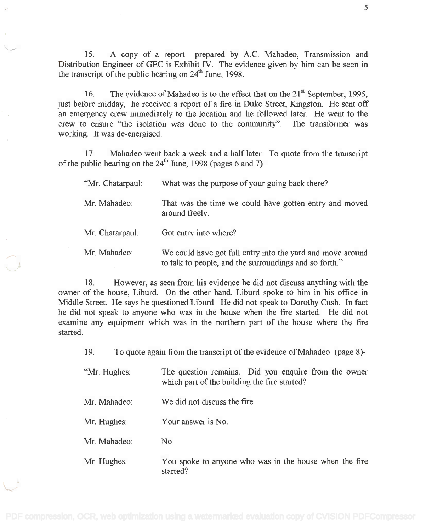15. A copy of a report prepared by A.C. Mahadeo, Transmission and 15. A copy of a report prepared by A.C. Mahadeo, Transmission and Distribution Engineer of GEC is Exhibit IV. The evidence given by him can be seen in Distribution Engineer of GEC is Exhibit IV. The evidence given by him can be seen in the transcript of the public hearing on  $24<sup>th</sup>$  June, 1998.

16. The evidence of Mahadeo is to the effect that on the  $21^{\text{st}}$  September, 1995, just before midday, he received a report of a fire in Duke Street, Kingston. He sent off just before midday, he received a report of a fire in Duke Street, Kingston. He sent off an emergency crew immediately to the location and he followed later. He went to the an emergency crew immediately to the location and he followed later. He went to the crew to ensure "the isolation was done to the community". The transformer was crew to en'sure "the isolation was done to the community". The transformer was working. It was de-energised. working. It was de-energised.

17. Mahadeo went back a week and a half later. To quote from the transcript 17. Mahadeo went back a week and a half later. To quote from the transcript of the public hearing on the 24<sup>th</sup> June, 1998 (pages 6 and 7) –

| "Mr. Chatarpaul: | What was the purpose of your going back there?                                                                       |
|------------------|----------------------------------------------------------------------------------------------------------------------|
| Mr. Mahadeo:     | That was the time we could have gotten entry and moved<br>around freely.                                             |
| Mr. Chatarpaul:  | Got entry into where?                                                                                                |
| Mr. Mahadeo:     | We could have got full entry into the yard and move around<br>to talk to people, and the surroundings and so forth." |

18. However, as seen from his evidence he did not discuss anything with the 18. However, as seen from his evidence he did not discuss anything with the owner of the house, Liburd. On the other hand, Liburd spoke to him in his office in Middle Street. He says he questioned Liburd. He did not speak to Dorothy Cush. In fact Middle Street. He says he questioned Liburd. He did not speak to Dorothy Cush. In fact he did not speak to anyone who was in the house when the fire started. He did not he did not speak to anyone who was in the house when the fire started. He did not examine any equipment which was in the northern part of the house where the fire started. started.

19. To quote again from the transcript of the evidence of Mahadeo (page 8)-

| "Mr. Hughes: | The question remains. Did you enquire from the owner |  |
|--------------|------------------------------------------------------|--|
|              | which part of the building the fire started?         |  |
|              |                                                      |  |

- Mr. Mahadeo: We did not discuss the fire.
- Mr. Hughes: Your answer is No.
- Mr. Mahadeo: No.
- Mr. Hughes: You spoke to anyone who was in the house when the fire You spoke to anyone who was in the house when the fire started? started?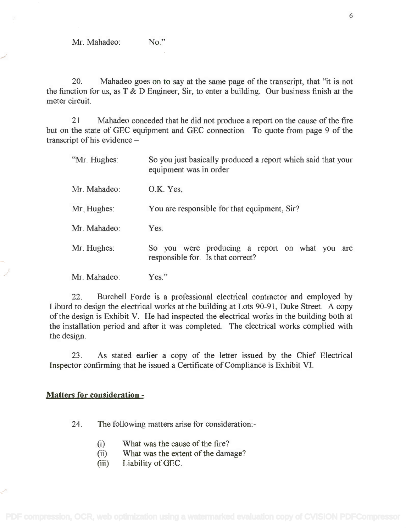20. Mahadeo goes on to say at the same page of the transcript, that "it is not 20. Mahadeo goes on to say at the same page of the transcript, that "it is not the function for us, as T & D Engineer, Sir, to enter a building. Our business finish at the the function for us, as T & D Engineer, Sir, to enter a building. Our business finish at the meter circuit. meter circuit.

21 Mahadeo conceded that he did not produce a report on the cause of the fire 21 Mahadeo conceded that he did not produce a report on the cause of the fire but on the state of GEC equipment and GEC connection. To quote from page 9 of the but on the state of GEC equipment and GEC connection. To quote from page 9 of the transcript of his evidence transcript of his evidence -

| "Mr. Hughes: | So you just basically produced a report which said that your<br>equipment was in order |
|--------------|----------------------------------------------------------------------------------------|
| Mr. Mahadeo: | O.K. Yes.                                                                              |
| Mr. Hughes:  | You are responsible for that equipment, Sir?                                           |
| Mr. Mahadeo: | Yes.                                                                                   |
| Mr. Hughes:  | So you were producing a report on what you are<br>responsible for. Is that correct?    |
| Mr. Mahadeo: | $Yes.$ "                                                                               |

22. Burchell Forde is a professional electrical contractor and employed by 22. Burchell Forde is a professional electrical contractor and employed by Liburd to design the electrical works at the building at Lots 90-91, Duke Street. A copy Liburd to design the electrical works at the building at Lots 90-91, Duke Street. A copy of the design is Exhibit V. He had inspected the electrical works in the building both at of the design is Exhibit V. He had inspected the electrical works in the building both at the installation period and after it was completed. The electrical works complied with the installation period and after it was completed. The electrical works complied with the design. the design.

23. As stated earlier a copy of the letter issued by the Chief Electrical 23. As stated earlier a copy of the letter issued by the Chief Electrical Inspector confirming that he issued a Certificate of Compliance is Exhibit VI. Inspector confirming that he issued a Certificate of Compliance is Exhibit VI.

## Matters for consideration -

24. The following matters arise for consideration:-

- (i) What was the cause of the fire? (i) What was the cause of the fire?
- (ii) What was the extent of the damage? (ii) What was the extent of the damage?
- (iii) Liability of GEC.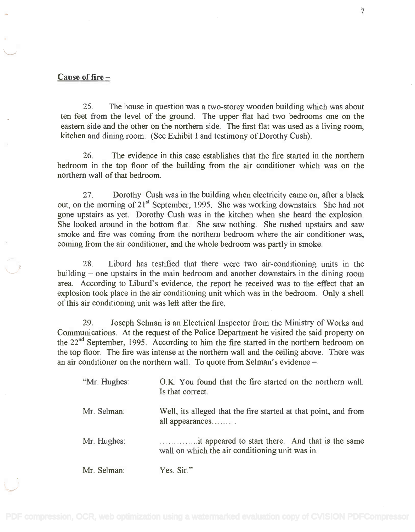### Cause of fire

25. The house in question was a two-storey wooden building which was about 25. The house in question was a two-storey wooden building which was about ten feet from the level of the ground. The upper flat had two bedrooms one on the ten feet from the level of the ground. The upper flat had two bedrooms one on the eastern side and the other on the northern side. The first flat was used as a living room, eastern side and the other on the northern side. The first flat was used as a living room, kitchen and dining room. (See Exhibit I and testimony of Dorothy Cush). kitchen and dining room. (See Exhibit I and testimony of Dorothy Cush).

26. The evidence in this case establishes that the fire started in the northern 26. The evidence in this case establishes that the fire started in the northern bedroom in the top floor of the building from the air conditioner which was on the bedroom in the top floor of the building from the air conditioner which was on the northern wall of that bedroom. northern wall of that bedroom.

27. Dorothy Cush was in the building when electricity came on, after a black 27. Dorothy Cush was in the building when electricity came on, after a black out, on the morning of 21<sup>st</sup> September, 1995. She was working downstairs. She had not gone upstairs as yet. Dorothy Cush was in the kitchen when she heard the explosion. gone upstairs as yet. Dorothy Cush was in the kitchen when she heard the explosion. She looked around in the bottom flat. She saw nothing. She rushed upstairs and saw She looked around in the bottom flat. She saw nothing. She rushed upstairs and saw smoke and fire was coming from the northern bedroom where the air conditioner was, smoke and fire was coming from the northern bedroom where the air conditioner was, coming from the air conditioner, and the whole bedroom was partly in smoke. coming from the air conditioner, and the whole bedroom was partly in smoke.

28. Liburd has testified that there were two air-conditioning units in the 28. Liburd has testified that there were two air-conditioning units in the building – one upstairs in the main bedroom and another downstairs in the dining room area. According to Liburd's evidence, the report he received was to the effect that an area. According to Liburd's evidence, the report he received was to the effect that an explosion took place in the air conditioning unit which was in the bedroom. Only a shell explosion took place in the air conditioning unit which was in the bedroom. Only a shell of this air conditioning unit was left after the fire. of this air conditioning unit was left after the fire.

29. Joseph Selman is an Electrical Inspector from the Ministry of Works and 29. Joseph Selman is an Electrical Inspector from the Ministry of Works and Communications. At the request of the Police Department he visited the said property on Communications. At the request of the Police Department he visited the said property on the 22<sup>nd</sup> September, 1995. According to him the fire started in the northern bedroom on the top floor. The fire was intense at the northern wall and the ceiling above. There was an air conditioner on the northern wall. To quote from Selman's evidence -

| "Mr. Hughes: | O.K. You found that the fire started on the northern wall.<br>Is that correct.                      |
|--------------|-----------------------------------------------------------------------------------------------------|
| Mr. Selman:  | Well, its alleged that the fire started at that point, and from<br>all appearances.                 |
| Mr. Hughes:  | it appeared to start there. And that is the same<br>wall on which the air conditioning unit was in. |
| Mr. Selman:  | Yes. Sir."                                                                                          |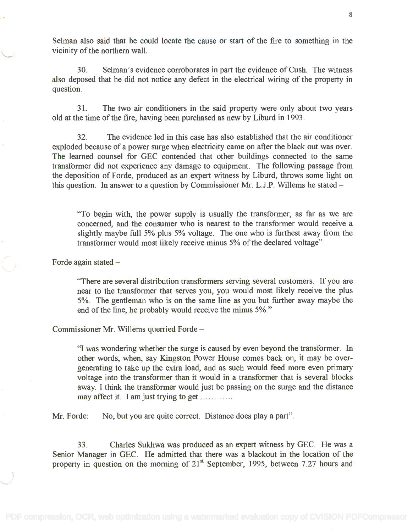Selman also said that he could locate the cause or start of the fire to something in the Selman also said that he could locate the cause or start of the fire to something in the vicinity of the northern wall. vicinity of the northern wall.

30. Selman's evidence corroborates in part the evidence of Cush. The witness 30. Selman's evidence corroborates in part the evidence ofCush. The witness also deposed that he did not notice any defect in the electrical wiring of the property in also deposed that he did not notice any defect in the electrical wiring of the property in question. question.

31. The two air conditioners in the said property were only about two years 31. The two air conditioners in the said property were only about two years old at the time of the fire, having been purchased as new by Liburd in 1993. old at the time of the fire, having been purchased as new by Liburd in 1993.

32. The evidence led in this case has also established that the air conditioner 32. The evidence led in this case has also established that the air conditioner exploded because of a power surge when electricity came on after the black out was over. exploded because of a power surge when electricity came on after the black out was over. The learned counsel for GEC contended that other buildings connected to the same The learned counsel for GEC contended that other buildings connected to the same transformer did not experience any damage to equipment. The following passage from transformer did not experience any damage to equipment. The following passage from the deposition of Forde, produced as an expert witness by Liburd, throws some light on the deposition of Forde, produced as an expert witness by Liburd, throws some light on this question. In answer to a question by Commissioner Mr. L.J.P. Willems he stated –

"To begin with, the power supply is usually the transformer, as far as we are "To begin with, the power supply is usually the transformer, as far as we are concerned, and the consumer who is nearest to the transformer would receive a concerned, and the consumer who is nearest to the transformer would receive a slightly maybe full 5% plus 5% voltage. The one who is furthest away from the slightly maybe full 5% plus 5% voltage. The one who is furthest away from the transformer would most likely receive minus 5% of the declared voltage" transformer would most likely receive minus 5% of the declared voltage"

Forde again stated

"There are several distribution transformers serving several customers. If you are "There are several distribution transformers serving several customers. If you are near to the transformer that serves you, you would most likely receive the plus near to the transformer that serves you, you would most likely receive the plus 5%. The gentleman who is on the same line as you but further away maybe the 5%. The gentleman who is on the same line as you but further away maybe the end of the line, he probably would receive the minus 5%." end of the line, he probably would receive the minus 5%."

Commissioner Mr. Willems querried Forde

"I was wondering whether the surge is caused by even beyond the transformer. In "I was wondering whether the surge is caused by even beyond the transformer. In other words, when, say Kingston Power House comes back on, it may be overgenerating to take up the extra load, and as such would feed more even primary generating to take up the extra load, and as such would feed more even primary voltage into the transformer than it would in a transformer that is several blocks voltage into the transformer than it would in a transformer that is several blocks away. I think the transformer would just be passing on the surge and the distance away. I think the transformer would just be passing on the surge and the distance may affect it. I am just trying to get ............

Mr. Forde: No, but you are quite correct. Distance does play a part".

33. Charles Sukhwa was produced as an expert witness by GEC. He was a 33. Charles Sukhwa was produced as an expert witness by GEC. He was a Senior Manager in GEC. He admitted that there was a blackout in the location of the Senior Manager in GEC. He admitted that there was a blackout in the location of the property in question on the morning of  $21<sup>st</sup>$  September, 1995, between 7.27 hours and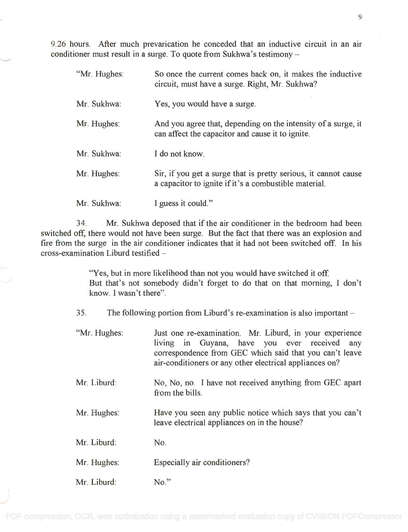9.26 hours. After much prevarication he conceded that an inductive circuit in an air 9.26 hours. After much prevarication he conceded that an inductive circuit in an air conditioner must result in a surge. To quote from Sukhwa's testimony –

| "Mr. Hughes: | So once the current comes back on, it makes the inductive<br>circuit, must have a surge. Right, Mr. Sukhwa?              |
|--------------|--------------------------------------------------------------------------------------------------------------------------|
| Mr. Sukhwa:  | Yes, you would have a surge.                                                                                             |
| Mr. Hughes:  | And you agree that, depending on the intensity of a surge, it<br>can affect the capacitor and cause it to ignite.        |
| Mr. Sukhwa:  | I do not know.                                                                                                           |
| Mr. Hughes:  | Sir, if you get a surge that is pretty serious, it cannot cause<br>a capacitor to ignite if it's a combustible material. |
| Mr. Sukhwa:  | I guess it could."                                                                                                       |

34. Mr. Sukhwa deposed that if the air conditioner in the bedroom had been 34. Mr. Sukhwa deposed that if the air conditioner in the bedroom had been switched off, there would not have been surge. But the fact that there was an explosion and switched off, there would not have been surge. But the fact that there was an explosion and fire from the surge in the air conditioner indicates that it had not been switched off. In his fire from the surge in the air conditioner indicates that it had not been switched off. In his cross-examination Liburd testified cross-examination Liburd testified -

> "Yes, but in more likelihood than not you would have switched it off. "Yes, but in more likelihood than not you would have switched it off But that's not somebody didn't forget to do that on that morning, I don't But that's not somebody didn't forget to do that on that morning, I don't know. I wasn't there". know. I wasn't there".

35. The following portion from Liburd's re-examination is also important

- "Mr. Hughes: Just one re-examination. Mr. Liburd, in your experience Just one re-examination. Mr. Liburd, in your experience living in Guyana, have you ever received any living in Guyana, have you ever received any correspondence from GEC which said that you can't leave correspondence from GEC which said that you can't leave air-conditioners or any other electrical appliances on? air-conditioners or any other electrical appliances on?
- Mr. Liburd: No, No, no. I have not received anything from GEC apart No, No, no. I have not received anything from GEC apart from the bills. from the bills.
- Mr. Hughes: Have you seen any public notice which says that you can't Have you seen any public notice which says that you can't leave electrical appliances on in the house? leave electrical appliances on in the house?
- Mr. Liburd: No.
- Mr. Hughes: Especially air conditioners?
- Mr. Liburd: No.<sup>37</sup>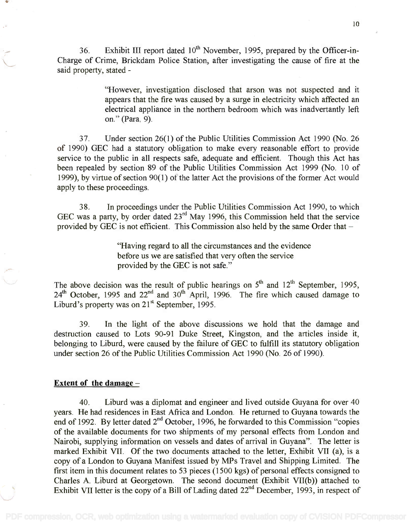36. Exhibit III report dated  $10^{th}$  November, 1995, prepared by the Officer-in-Charge of Crime, Brickdam Police Station, after investigating the cause of fire at the Charge of Crime, Brickdam Police Station, after investigating the cause of fire at the said property, stated - said property, stated -

> "However, investigation disclosed that arson was not suspected and it "However, investigation disclosed that arson was not suspected and it appears that the fire was caused by a surge in electricity which affected an appears that the fire was caused by a surge in electricity which affected an electrical appliance in the northern bedroom which was inadvertantly left on." (Para. 9). on." (Para. 9).

37. Under section 26(1) of the Public Utilities Commission Act 1990 (No. 26 37. Under section 26(1) of the Public Utilities Commission Act 1990 (No. 26 of 1990) GEC had a statutory obligation to make every reasonable effort to provide of 1990) GEC had a statutory obligation to make every reasonable effort to provide service to the public in all respects safe, adequate and efficient. Though this Act has service to the public in all respects safe, adequate and efficient. Though this Act has been repealed by section 89 of the Public Utilities Commission Act 1999 (No. 10 of been repealed by section 89 of the Public Utilities Commission Act 1999 (No. 10 of 1999), by virtue of section 90(1) of the latter Act the provisions of the former Act would 1999), by virtue of section 90( 1) of the latter Act the provisions of the former Act would apply to these proceedings. apply to these proceedings.

38. In proceedings under the Public Utilities Commission Act 1990, to which 38. In proceedings under the Public Utilities Commission Act 1990, to which GEC was a party, by order dated  $23<sup>rd</sup>$  May 1996, this Commission held that the service provided by GEC is not efficient. This Commission also held by the same Order that  $-$ 

> "Having regard to all the circumstances and the evidence "Having regard to all the circumstances and the evidence before us we are satisfied that very often the service before us we are satisfied that very often the service provided by the GEC is not safe." provided by the GEC is not safe."

The above decision was the result of public hearings on  $5<sup>th</sup>$  and  $12<sup>th</sup>$  September, 1995,  $24<sup>th</sup>$  October, 1995 and  $22<sup>nd</sup>$  and  $30<sup>th</sup>$  April, 1996. The fire which caused damage to Liburd's property was on 21<sup>st</sup> September, 1995.

39. In the light of the above discussions we hold that the damage and 39. In the light of the above discussions we hold that the damage and destruction caused to Lots 90-91 Duke Street, Kingston, and the articles inside it, destruction caused to Lots 90-91 Duke Street, Kingston, and the articles inside it, belonging to Liburd, were caused by the failure of GEC to fulfill its statutory obligation belonging to Liburd, were caused by the failure of GEC to fulfill its statutory obligation under section 26 of the Public Utilities Commission Act 1990 (No. 26 of 1990).

#### Extent of the damage

40. Liburd was a diplomat and engineer and lived outside Guyana for over 40 40. Liburd was a diplomat and engineer and lived outside Guyana for over 40 years. He had residences in East Africa and London. He returned to Guyana towards the years. He had residences in East Africa and London. He returned to Guyana towards the end of 1992. By letter dated  $2<sup>nd</sup>$  October, 1996, he forwarded to this Commission "copies of the available documents for two shipments of my personal effects from London and Nairobi, supplying information on vessels and dates of arrival in Guyana". The letter is Nairobi, supplying information on vessels and dates of arrival in Guyana". The letter is marked Exhibit VII. Of the two documents attached to the letter, Exhibit VII (a), is a marked Exhibit VII. Of the two documents attached to the letter, Exhibit VII (a), is a copy of a London to Guyana Manifest issued by MPs Travel and Shipping Limited. The copy of a London to Guyana Manifest issued by MPs Travel and Shipping Limited. The first item in this document relates to 53 pieces (1500 kgs) of personal effects consigned to first item in this document relates to 53 pieces (1500 kgs) of personal effects consigned to Charles A. Liburd at Georgetown. The second document (Exhibit VII(b)) attached to Charles A. Liburd at Georgetown. The second document (Exhibit VII(b)) attached to Exhibit VII letter is the copy of a Bill of Lading dated  $22<sup>nd</sup>$  December, 1993, in respect of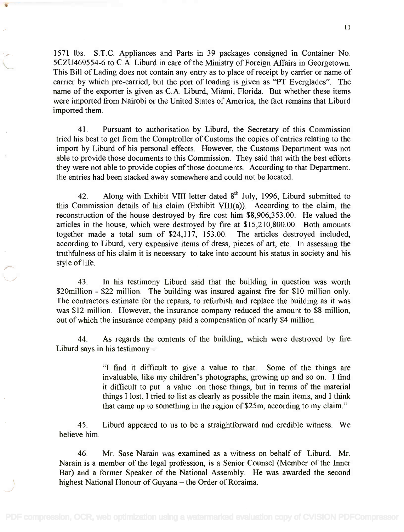1571 lbs. S.T.C. Appliances and Parts in 39 packages consigned in Container No. 1571 lbs. S.T.c. Appliances and Parts in 39 packages consigned in Container No. 5CZU469554-6 to C.A. Liburd in care of the Ministry of Foreign Affairs in Georgetown. 5CZU469554-6 to c.A. Liburd in care of the Ministry of Foreign Affairs in Georgetown. This Bill of Lading does not contain any entry as to place of receipt by carrier or name of This Bill of Lading does not contain any entry as to place of receipt by carrier or name of carrier by which pre-carried, but the port of loading is given as "PT Everglades". The carrier by which pre-carried, but the port of loading is given as "PT Everglades". The name of the exporter is given as C.A. Liburd, Miami, Florida. But whether these items name of the exporter is given as c.A. Liburd, Miami, Florida. But whether these items were imported from Nairobi or the United States of America, the fact remains that Liburd were imported from Nairobi or the United States of America, the fact remains that Liburd imported them. imported them.

41. Pursuant to authorisation by Liburd, the Secretary of this Commission 41. Pursuant to authorisation by Liburd, the Secretary of this Commission tried his best to get from the Comptroller of Customs the copies of entries relating to the tried his best to get from the Comptroller of Customs the copies of entries relating to the import by Liburd of his personal effects. However, the Customs Department was not import by Liburd of his personal effects. However, the Customs Department was not able to provide those documents to this Commission. They said that with the best efforts able to provide those documents to this Commission. They said that with the best efforts they were not able to provide copies of those documents. According to that Department, they were not able to provide copies of those documents. According to that Department, the entries had been stacked away somewhere and could not be located. the entries had been stacked away somewhere and could not be located.

42. Along with Exhibit VIII letter dated  $8<sup>th</sup>$  July, 1996, Liburd submitted to this Commission details of his claim (Exhibit VIII(a)). According to the claim, the this Commission details of his claim (Exhibit VIII(a)). According to the claim, the reconstruction of the house destroyed by fire cost him \$8,906,353.00. He valued the reconstruction of the house destroyed by fire cost him \$8,906,353.00. He valued the articles in the house, which were destroyed by fire at \$15,210,800.00. Both amounts articles in the house, which were destroyed by fire at \$15,210,800.00. Both amounts together made a total sum of \$24,117, 153.00. The articles destroyed included, together made a total sum of \$24,117, 153.00. The articles destroyed included, according to Liburd, very expensive items of dress, pieces of art, etc. In assessing the according to Liburd, very expensive items of dress, pieces of art, etc. In assessing the truthfulness of his claim it is necessary to take into account his status in society and his style of life. style of life.

43. In his testimony Liburd said that the building in question was worth 43. In his testimony Liburd said that the building in question was worth \$20million - \$22 million. The building was insured against fire for \$10 million only. The contractors estimate for the repairs, to refurbish and replace the building as it was The contractors estimate for the repairs, to refurbish and replace the building as it was was \$12 million. However, the insurance company reduced the amount to \$8 million, was \$12 million. However, the insurance company reduced the amount to \$8 million, out of which the insurance company paid a compensation of nearly \$4 million. out of which the insurance company paid a compensation of nearly \$4 million.

44. As regards the contents of the building, which were destroyed by fire 44. As regards the contents of the building, which were destroyed by fire Liburd says in his testimony Liburd says in his testimony -

> "I find it difficult to give a value to that. Some of the things are "I find it difficult to give a value to that. Some of the things are invaluable, like my children's photographs, growing up and so on. I find invaluable, like my children's photographs, growing up and so on. I find it difficult to put a value on those things, but in terms of the material it difficult to put a value on those things, but in terms of the material things I lost, I tried to list as clearly as possible the main items, and I think things I lost, I tried to list as clearly as possible the main items, and I think that came up to something in the region of \$25m, according to my claim." that came up to something in the region of\$25m, according to my claim."

45. Liburd appeared to us to be a straightforward and credible witness. We 45. Liburd appeared to us to be a straightforward and credible witness. We believe him. believe him.

46. Mr. Sase Narain was examined as a witness on behalf of Liburd. Mr. 46. Mr. Sase Narain was examined as a witness on behalf of Liburd. Mr. Narain is a member of the legal profession, is a Senior Counsel (Member of the Inner Narainis a member of the legal profession, is a Senior Counsel (Member of the Inner Bar) and a former Speaker of the National Assembly. He was awarded the second Bar) and a former Speaker of the National Assembly. He was awarded the second highest National Honour of Guyana - the Order of Roraima.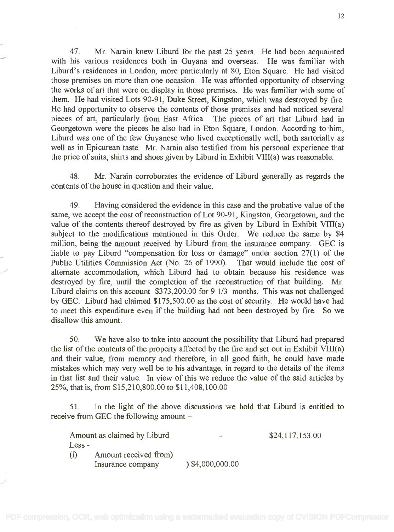47. Mr. Narain knew Liburd for the past 25 years. He had been acquainted 47. Mr. Narain knew Liburd for the past 25 years. He had been acquainted with his various residences both in Guyana and overseas. He was familiar with Liburd's residences in London, more particularly at 80, Eton Square. He had visited Liburd's residences in London, more particularly at 80, Eton Square. He had visited those premises on more than one occasion. He was afforded opportunity of observing those premises on more than one occasion. He was afforded opportunity of observing the works of art that were on display in those premises. He was familiar with some of them. He had visited Lots 90-91, Duke Street, Kingston, which was destroyed by fire. them. He had visited Lots 90-91, Duke Street, Kingston, which was destroyed by fire. He had opportunity to observe the contents of those premises and had noticed several He had opportunity to observe the contents of those premises and had noticed several pieces of art, particularly from East Africa. The pieces of art that Liburd had in pieces of art, particularly from East Africa. The pieces of art that Liburd had in Georgetown were the pieces he also had in Eton Square, London. According to -him, Georgetown were the pieces he also had in Eton Square, London. According to 'him, Liburd was one of the few Guyanese who lived exceptionally well, both sartorially as Liburd was one of the few Guyanese who lived exceptionally well, both sartorially as well as in Epicurean taste. Mr. Narain also testified from his personal experience that well as in Epicurean taste. Mr. Narain also testified from his personal experience that the price of suits, shirts and shoes given by Liburd in Exhibit VIII(a) was reasonable. the price of suits, shirts and shoes given by Liburd in Exhibit VIII(a) was reasonable.

48. Mr. Narain corroborates the evidence of Liburd generally as regards the 48. Mr. Narain corroborates the evidence of Liburd generally as regards the contents of the house in question and their value. contents of the house in question and their value.

49. Having considered the evidence in this case and the probative value of the 49. Having considered the evidence in this case and the probative value of the same, we accept the cost of reconstruction of Lot 90-91, Kingston, Georgetown, and the same, we accept the cost of reconstruction of Lot 90-91, Kingston, Georgetown, and the value of the contents thereof destroyed by fire as given by Liburd in Exhibit VIII(a) value of the contents thereof destroyed by fire as given by Liburd in Exhibit VIII(a) subject to the modifications mentioned in this Order. We reduce the same by \$4 subject to the modifications mentioned in this Order. We reduce the same by \$4 million, being the amount received by Liburd from the insurance company. GEC is million, being the amount received by Liburd from the insurance company. GEC is liable to pay Liburd "compensation for loss or damage" under section 27(1) of the liable to pay Liburd "compensation for loss or damage" under section 27(1) of the Public Utilities Commission Act (No. 26 of 1990). That would include the cost of Public Utilities Commission Act (No. 26 of 1990). That would include the cost of alternate accommodation, which Liburd had to obtain because his residence was alternate accommodation, which Liburd had to obtain because his residence was destroyed by fire, until the completion of the reconstruction of that building. Mr. destroyed by fire, until the completion of the reconstruction of that building. Mr. Liburd claims on this account \$373,200.00 for 9 1/3 months. This was not challenged Liburd claims on this account \$373,200.00 for 9 1/3 months. This was not challenged by GEC. Liburd had claimed \$175,500.00 as the cost of security. He would have had by GEC. Liburd had claimed \$175,500.00 as the cost of security. He would have had to meet this expenditure even if the building had not been destroyed by fire. So we to meet this expenditure even if the building had not been destroyed by fire. So we disallow this amount. disallow this amount.

50. We have also to take into account the possibility that Liburd had prepared 50. We have also to take into account the possibility that Liburd had prepared the list of the contents of the property affected by the fire and set out in Exhibit VIII(a) the list of the contents of the property affected by the fire and set out in Exhibit VIII(a) and their value, from memory and therefore, in all good faith, he could have made and their value, from memory and therefore, in all good faith, he could have made mistakes which may very well be to his advantage, in regard to the details of the items mistakes which may very well be to his advantage, in regard to the details of the items in that list and their value. In view of this we reduce the value of the said articles by in that list and their value. In view of this we reduce the value of the said articles by 25%, that is, from \$15,210,800.00 to \$11,408,100.00 25%, that is, from \$15,210,800.00 to \$11,408,100.00

51. In the light of the above discussions we hold that Liburd is entitled to 51. In the light of the above discussions we hold that Liburd is entitled to receive from GEC the following amount  $-$ 

Amount as claimed by Liburd  $\sim$  \$24,117,153.00 Less Less - (i) Amount received from) (i) Amount received from) Insurance company ) \$4,000,000.00 Insurance company ) \$4,000,000.00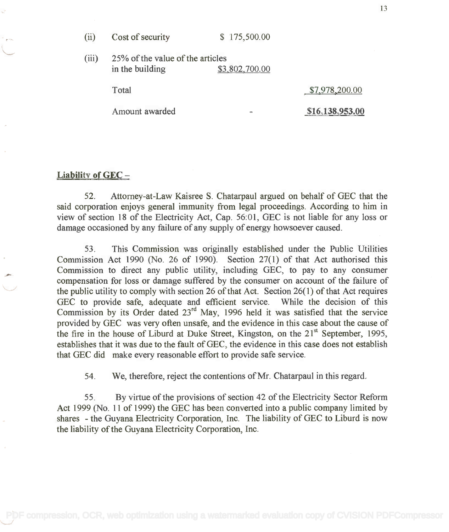| (ii)<br>Cost of security | \$175,500.00 |
|--------------------------|--------------|
|--------------------------|--------------|

(iii) 25% of the value of the articles (iii) 25% of the value of the articles in the building \$3,802,700.00

Total \$7,978,200.00

13

Amount awarded **\$16,138,953.00** 

# Liability of GEC-

52. Attorney-at-Law Kaisree S. Chatarpaul argued on behalf of GEC that the 52. Attorney-at-Law Kaisree S. Chatarpaul argued on behalf of GEC that the said corporation enjoys general immunity from legal proceedings. According to him in said corporation enjoys general immunity from legal proceedings. According to him in view of section 18 of the Electricity Act, Cap. 56:01, GEC is not liable for any loss or view of section 18 of the Electricity Act, Cap. 56:01, GEC is not liable for any loss or damage occasioned by any failure of any supply of energy howsoever caused. damage occasioned by any failure of any supply of energy howsoever caused.

53. This Commission was originally established under the Public Utilities 53. This Commission was originally established under the Public Utilities Commission Act 1990 (No. 26 of 1990). Section 27(1) of that Act authorised this Commission Act 1990 (No. 26 of 1990). Section 27(1) of that Act authorised this Commission to direct any public utility, including GEC, to pay to any consumer Commission to direct any public utility, including GEC, to pay to any consumer compensation for loss or damage suffered by the consumer on account of the failure of the public utility to comply with section 26 of that Act. Section 26(1) of that Act requires the public utility to comply with section 26 of that Act. Section 26(1) of that Act requires GEC to provide safe, adequate and efficient service. While the decision of this Commission by its Order dated  $23^{rd}$  May, 1996 held it was satisfied that the service provided by GEC was very often unsafe, and the evidence in this case about the cause of provided by GEC was very often unsafe, and the evidence in this case about the cause of the fire in the house of Liburd at Duke Street, Kingston, on the 21<sup>st</sup> September, 1995, establishes that it was due to the fault of GEC, the evidence in this case does not establish establishes that it was due to the fault of GEC, the evidence in this case does not establish that GEC did make every reasonable effort to provide safe service. that GEC did make every reasonable effort to provide safe service. GEC to provide safe, adequate and efficient service. While the decision of this Commission by its Order dated  $23<sup>rd</sup>$  May, 1996 held it was satisfied that the service

54. We, therefore, reject the contentions of Mr. Chatarpaul in this regard.

55. By virtue of the provisions of section 42 of the Electricity Sector Reform 55. By virtue of the provisions of section 42 of the Electricity Sector Reform Act 1999 (No. 11 of 1999) the GEC has been converted into a public company limited by Act 1999 (No. 11 of 1999) the GEC has been converted into a public company limited by shares - the Guyana Electricity Corporation, Inc. The liability of GEC to Liburd is now shares - the Guyana Electricity Corporation, Inc. The liability of GEC to Liburd is now the liability of the Guyana Electricity Corporation, Inc. the liability of the Guyana Electricity Corporation, Inc.